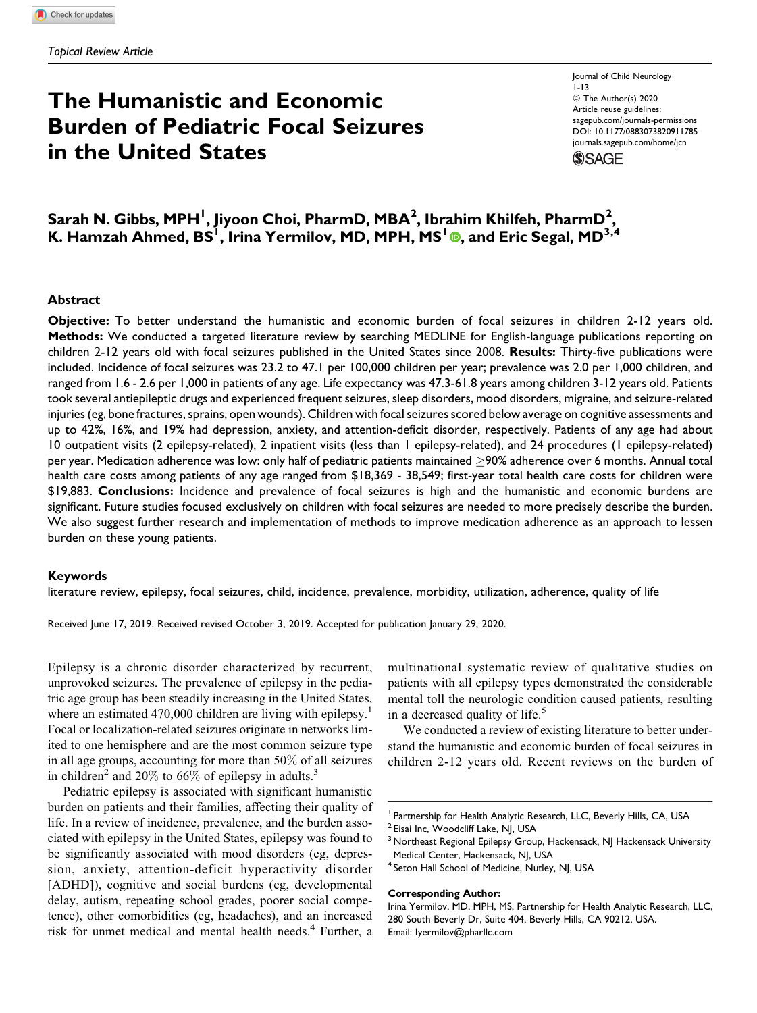# The Humanistic and Economic Burden of Pediatric Focal Seizures in the United States

Journal of Child Neurology 1-13 ª The Author(s) 2020 Article reuse guidelines: sagepub.com/journals-permissions DOI: 10.1177/0883073820911785 journals.sagepub.com/home/jcn**SSAGE** 



## $\sf{Sarah}$  N. Gibbs, MPH $^{\sf I}$ , Jiyoon Choi, PharmD, MBA $^{\sf 2}$ , Ibrahim Khilfeh, PharmD $^{\sf 2}$ , K. Hamzah Ahmed, BS $^{\rm l}$ , Irina Yermilov, MD, MPH, MS $^{\rm l}$  (0, and Eric Segal, MD $^{\rm 3,4}$

#### Abstract

Objective: To better understand the humanistic and economic burden of focal seizures in children 2-12 years old. Methods: We conducted a targeted literature review by searching MEDLINE for English-language publications reporting on children 2-12 years old with focal seizures published in the United States since 2008. Results: Thirty-five publications were included. Incidence of focal seizures was 23.2 to 47.1 per 100,000 children per year; prevalence was 2.0 per 1,000 children, and ranged from 1.6 - 2.6 per 1,000 in patients of any age. Life expectancy was 47.3-61.8 years among children 3-12 years old. Patients took several antiepileptic drugs and experienced frequent seizures, sleep disorders, mood disorders, migraine, and seizure-related injuries (eg, bone fractures, sprains, open wounds). Children with focal seizures scored below average on cognitive assessments and up to 42%, 16%, and 19% had depression, anxiety, and attention-deficit disorder, respectively. Patients of any age had about 10 outpatient visits (2 epilepsy-related), 2 inpatient visits (less than 1 epilepsy-related), and 24 procedures (1 epilepsy-related) per year. Medication adherence was low: only half of pediatric patients maintained  $\geq$ 90% adherence over 6 months. Annual total health care costs among patients of any age ranged from \$18,369 - 38,549; first-year total health care costs for children were \$19,883. Conclusions: Incidence and prevalence of focal seizures is high and the humanistic and economic burdens are significant. Future studies focused exclusively on children with focal seizures are needed to more precisely describe the burden. We also suggest further research and implementation of methods to improve medication adherence as an approach to lessen burden on these young patients.

## Keywords

literature review, epilepsy, focal seizures, child, incidence, prevalence, morbidity, utilization, adherence, quality of life

Received June 17, 2019. Received revised October 3, 2019. Accepted for publication January 29, 2020.

Epilepsy is a chronic disorder characterized by recurrent, unprovoked seizures. The prevalence of epilepsy in the pediatric age group has been steadily increasing in the United States, where an estimated  $470,000$  children are living with epilepsy.<sup>1</sup> Focal or localization-related seizures originate in networks limited to one hemisphere and are the most common seizure type in all age groups, accounting for more than 50% of all seizures in children<sup>2</sup> and 20% to 66% of epilepsy in adults.<sup>3</sup>

Pediatric epilepsy is associated with significant humanistic burden on patients and their families, affecting their quality of life. In a review of incidence, prevalence, and the burden associated with epilepsy in the United States, epilepsy was found to be significantly associated with mood disorders (eg, depression, anxiety, attention-deficit hyperactivity disorder [ADHD]), cognitive and social burdens (eg, developmental delay, autism, repeating school grades, poorer social competence), other comorbidities (eg, headaches), and an increased risk for unmet medical and mental health needs.<sup>4</sup> Further, a

multinational systematic review of qualitative studies on patients with all epilepsy types demonstrated the considerable mental toll the neurologic condition caused patients, resulting in a decreased quality of life.<sup>5</sup>

We conducted a review of existing literature to better understand the humanistic and economic burden of focal seizures in children 2-12 years old. Recent reviews on the burden of

#### Corresponding Author:

<sup>&</sup>lt;sup>1</sup> Partnership for Health Analytic Research, LLC, Beverly Hills, CA, USA

<sup>&</sup>lt;sup>2</sup> Eisai Inc, Woodcliff Lake, NJ, USA

<sup>&</sup>lt;sup>3</sup> Northeast Regional Epilepsy Group, Hackensack, NJ Hackensack University Medical Center, Hackensack, NJ, USA

<sup>&</sup>lt;sup>4</sup> Seton Hall School of Medicine, Nutley, NJ, USA

Irina Yermilov, MD, MPH, MS, Partnership for Health Analytic Research, LLC, 280 South Beverly Dr, Suite 404, Beverly Hills, CA 90212, USA. Email: Iyermilov@pharllc.com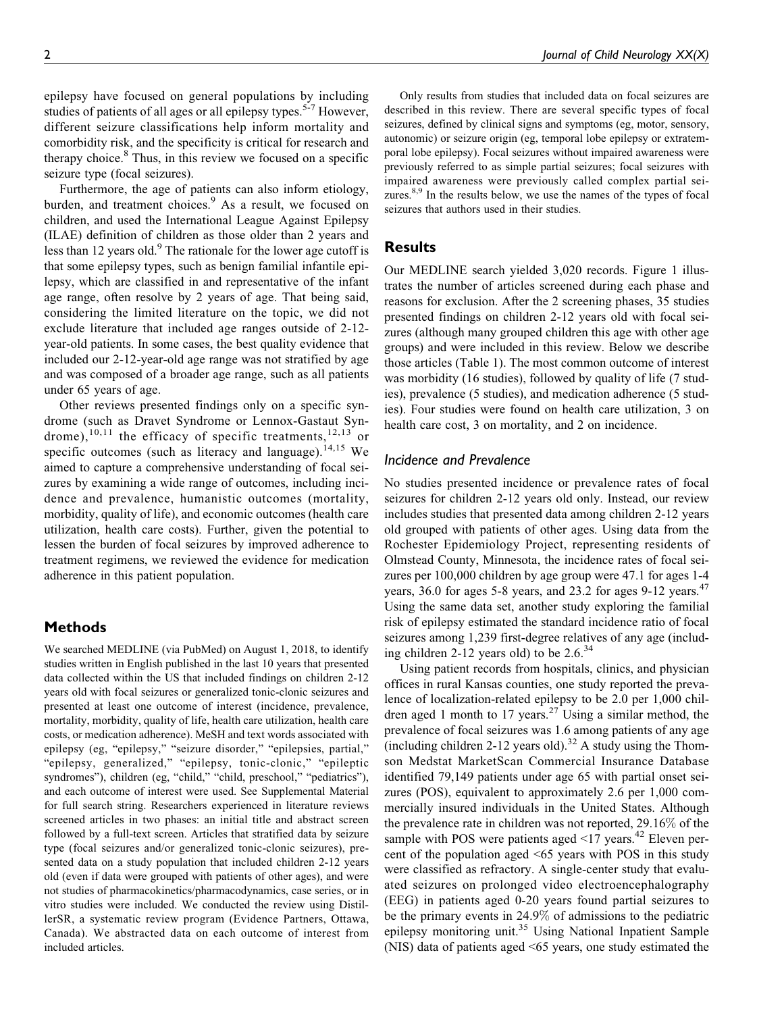epilepsy have focused on general populations by including studies of patients of all ages or all epilepsy types.<sup>5-7</sup> However, different seizure classifications help inform mortality and comorbidity risk, and the specificity is critical for research and therapy choice.<sup>8</sup> Thus, in this review we focused on a specific seizure type (focal seizures).

Furthermore, the age of patients can also inform etiology, burden, and treatment choices.<sup>9</sup> As a result, we focused on children, and used the International League Against Epilepsy (ILAE) definition of children as those older than 2 years and less than 12 years old.<sup>9</sup> The rationale for the lower age cutoff is that some epilepsy types, such as benign familial infantile epilepsy, which are classified in and representative of the infant age range, often resolve by 2 years of age. That being said, considering the limited literature on the topic, we did not exclude literature that included age ranges outside of 2-12 year-old patients. In some cases, the best quality evidence that included our 2-12-year-old age range was not stratified by age and was composed of a broader age range, such as all patients under 65 years of age.

Other reviews presented findings only on a specific syndrome (such as Dravet Syndrome or Lennox-Gastaut Syndrome),<sup>10,11</sup> the efficacy of specific treatments,<sup>12,13</sup> or specific outcomes (such as literacy and language).<sup>14,15</sup> We aimed to capture a comprehensive understanding of focal seizures by examining a wide range of outcomes, including incidence and prevalence, humanistic outcomes (mortality, morbidity, quality of life), and economic outcomes (health care utilization, health care costs). Further, given the potential to lessen the burden of focal seizures by improved adherence to treatment regimens, we reviewed the evidence for medication adherence in this patient population.

## Methods

We searched MEDLINE (via PubMed) on August 1, 2018, to identify studies written in English published in the last 10 years that presented data collected within the US that included findings on children 2-12 years old with focal seizures or generalized tonic-clonic seizures and presented at least one outcome of interest (incidence, prevalence, mortality, morbidity, quality of life, health care utilization, health care costs, or medication adherence). MeSH and text words associated with epilepsy (eg, "epilepsy," "seizure disorder," "epilepsies, partial," "epilepsy, generalized," "epilepsy, tonic-clonic," "epileptic syndromes"), children (eg, "child," "child, preschool," "pediatrics"), and each outcome of interest were used. See Supplemental Material for full search string. Researchers experienced in literature reviews screened articles in two phases: an initial title and abstract screen followed by a full-text screen. Articles that stratified data by seizure type (focal seizures and/or generalized tonic-clonic seizures), presented data on a study population that included children 2-12 years old (even if data were grouped with patients of other ages), and were not studies of pharmacokinetics/pharmacodynamics, case series, or in vitro studies were included. We conducted the review using DistillerSR, a systematic review program (Evidence Partners, Ottawa, Canada). We abstracted data on each outcome of interest from included articles.

Only results from studies that included data on focal seizures are described in this review. There are several specific types of focal seizures, defined by clinical signs and symptoms (eg, motor, sensory, autonomic) or seizure origin (eg, temporal lobe epilepsy or extratemporal lobe epilepsy). Focal seizures without impaired awareness were previously referred to as simple partial seizures; focal seizures with impaired awareness were previously called complex partial seizures.<sup>8,9</sup> In the results below, we use the names of the types of focal seizures that authors used in their studies.

## **Results**

Our MEDLINE search yielded 3,020 records. Figure 1 illustrates the number of articles screened during each phase and reasons for exclusion. After the 2 screening phases, 35 studies presented findings on children 2-12 years old with focal seizures (although many grouped children this age with other age groups) and were included in this review. Below we describe those articles (Table 1). The most common outcome of interest was morbidity (16 studies), followed by quality of life (7 studies), prevalence (5 studies), and medication adherence (5 studies). Four studies were found on health care utilization, 3 on health care cost, 3 on mortality, and 2 on incidence.

## Incidence and Prevalence

No studies presented incidence or prevalence rates of focal seizures for children 2-12 years old only. Instead, our review includes studies that presented data among children 2-12 years old grouped with patients of other ages. Using data from the Rochester Epidemiology Project, representing residents of Olmstead County, Minnesota, the incidence rates of focal seizures per 100,000 children by age group were 47.1 for ages 1-4 years, 36.0 for ages 5-8 years, and 23.2 for ages  $9-12$  years.<sup>47</sup> Using the same data set, another study exploring the familial risk of epilepsy estimated the standard incidence ratio of focal seizures among 1,239 first-degree relatives of any age (including children 2-12 years old) to be  $2.6^{34}$ 

Using patient records from hospitals, clinics, and physician offices in rural Kansas counties, one study reported the prevalence of localization-related epilepsy to be 2.0 per 1,000 children aged 1 month to 17 years.<sup>27</sup> Using a similar method, the prevalence of focal seizures was 1.6 among patients of any age (including children 2-12 years old).<sup>32</sup> A study using the Thomson Medstat MarketScan Commercial Insurance Database identified 79,149 patients under age 65 with partial onset seizures (POS), equivalent to approximately 2.6 per 1,000 commercially insured individuals in the United States. Although the prevalence rate in children was not reported, 29.16% of the sample with POS were patients aged  $\leq$ 17 years.<sup>42</sup> Eleven percent of the population aged <65 years with POS in this study were classified as refractory. A single-center study that evaluated seizures on prolonged video electroencephalography (EEG) in patients aged 0-20 years found partial seizures to be the primary events in 24.9% of admissions to the pediatric epilepsy monitoring unit.<sup>35</sup> Using National Inpatient Sample (NIS) data of patients aged <65 years, one study estimated the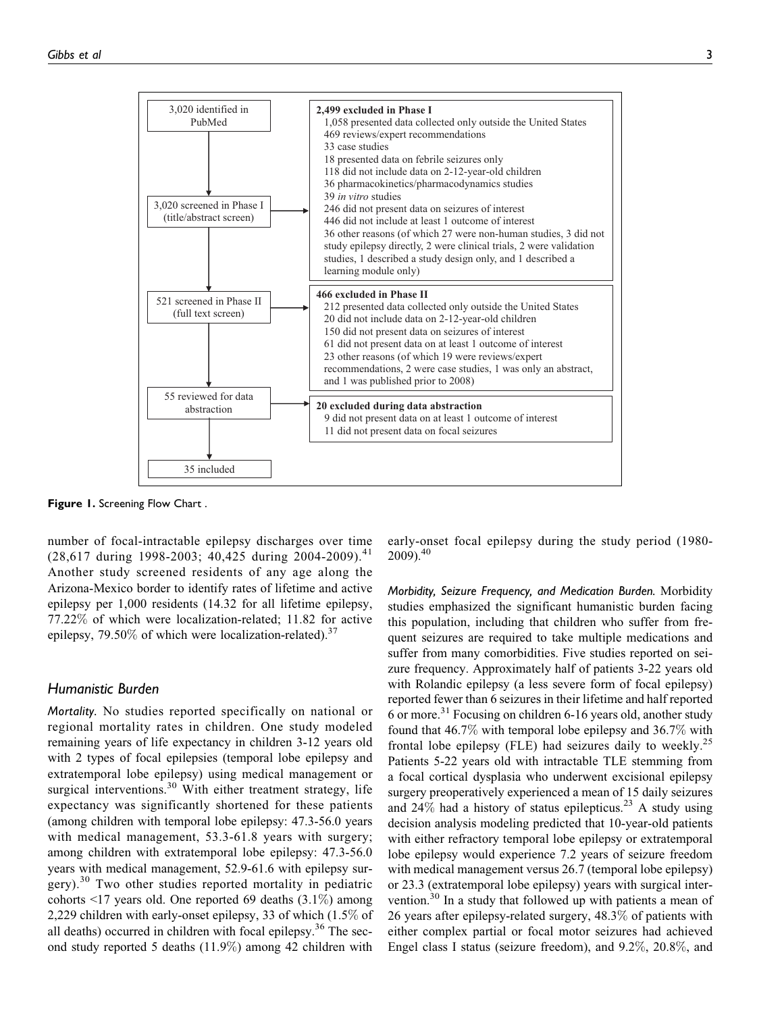

Figure 1. Screening Flow Chart.

number of focal-intractable epilepsy discharges over time  $(28,617$  during 1998-2003; 40,425 during 2004-2009).<sup>41</sup> Another study screened residents of any age along the Arizona-Mexico border to identify rates of lifetime and active epilepsy per 1,000 residents (14.32 for all lifetime epilepsy, 77.22% of which were localization-related; 11.82 for active epilepsy, 79.50% of which were localization-related).<sup>37</sup>

## Humanistic Burden

Mortality. No studies reported specifically on national or regional mortality rates in children. One study modeled remaining years of life expectancy in children 3-12 years old with 2 types of focal epilepsies (temporal lobe epilepsy and extratemporal lobe epilepsy) using medical management or surgical interventions.<sup>30</sup> With either treatment strategy, life expectancy was significantly shortened for these patients (among children with temporal lobe epilepsy: 47.3-56.0 years with medical management, 53.3-61.8 years with surgery; among children with extratemporal lobe epilepsy: 47.3-56.0 years with medical management, 52.9-61.6 with epilepsy surgery).<sup>30</sup> Two other studies reported mortality in pediatric cohorts <17 years old. One reported 69 deaths (3.1%) among 2,229 children with early-onset epilepsy, 33 of which (1.5% of all deaths) occurred in children with focal epilepsy.<sup>36</sup> The second study reported 5 deaths (11.9%) among 42 children with

early-onset focal epilepsy during the study period (1980-  $2009$ ).<sup>40</sup>

Morbidity, Seizure Frequency, and Medication Burden. Morbidity studies emphasized the significant humanistic burden facing this population, including that children who suffer from frequent seizures are required to take multiple medications and suffer from many comorbidities. Five studies reported on seizure frequency. Approximately half of patients 3-22 years old with Rolandic epilepsy (a less severe form of focal epilepsy) reported fewer than 6 seizures in their lifetime and half reported 6 or more.<sup>31</sup> Focusing on children  $6-16$  years old, another study found that 46.7% with temporal lobe epilepsy and 36.7% with frontal lobe epilepsy (FLE) had seizures daily to weekly.<sup>25</sup> Patients 5-22 years old with intractable TLE stemming from a focal cortical dysplasia who underwent excisional epilepsy surgery preoperatively experienced a mean of 15 daily seizures and  $24\%$  had a history of status epilepticus.<sup>23</sup> A study using decision analysis modeling predicted that 10-year-old patients with either refractory temporal lobe epilepsy or extratemporal lobe epilepsy would experience 7.2 years of seizure freedom with medical management versus 26.7 (temporal lobe epilepsy) or 23.3 (extratemporal lobe epilepsy) years with surgical intervention.<sup>30</sup> In a study that followed up with patients a mean of 26 years after epilepsy-related surgery, 48.3% of patients with either complex partial or focal motor seizures had achieved Engel class I status (seizure freedom), and 9.2%, 20.8%, and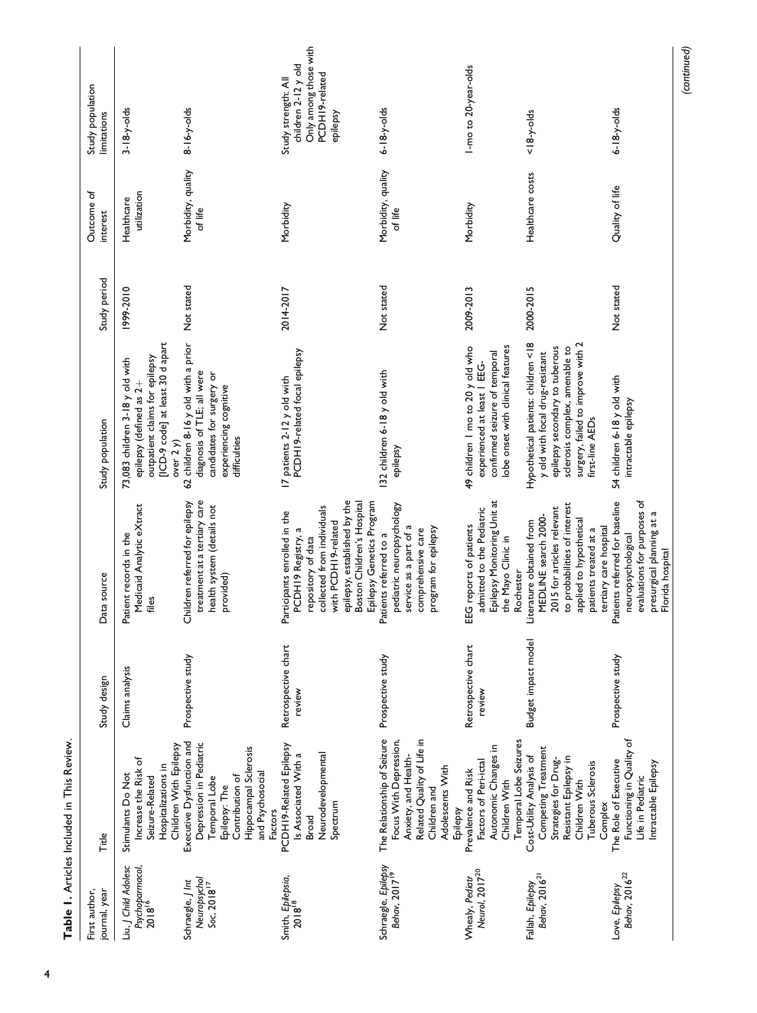| First author,<br>journal, year                               | Title                                                                                                                                                       | Study design                  | Data source                                                                                                                                                                                                              | Study population                                                                                                                                                                                   | Study period | Outcome of<br>interest        | Study population<br>limitations                                                                   |
|--------------------------------------------------------------|-------------------------------------------------------------------------------------------------------------------------------------------------------------|-------------------------------|--------------------------------------------------------------------------------------------------------------------------------------------------------------------------------------------------------------------------|----------------------------------------------------------------------------------------------------------------------------------------------------------------------------------------------------|--------------|-------------------------------|---------------------------------------------------------------------------------------------------|
| iu, J Child Adolesc<br>Psychoparmacol,<br>2018 <sup>16</sup> | Children With Epilepsy<br>Increase the Risk of<br>Hospitalizations in<br>Stimulants Do Not<br>Seizure-Related                                               | Claims analysis               | Medicaid Analytic eXtract<br>Patient records in the<br>files                                                                                                                                                             | [ICD-9 code] at least 30 d apart<br>outpatient claims for epilepsy<br>73,083 children 3-18 y old with<br>epilepsy (defined as 2+<br>over $2 y$                                                     | 1999-2010    | utilization<br>Healthcare     | $3 - 18 - y - olds$                                                                               |
| Neuropsychol<br>Schraegle, J Int<br>$Soc, 2018^{17}$         | Executive Dysfunction and<br>Depression in Pediatric<br>Hippocampal Sclerosis<br>and Psychosocial<br>Contribution of<br>Temporal Lobe<br>Epilepsy: The      | Prospective study             | Children referred for epilepsy<br>treatment at a tertiary care<br>health system (details not<br>provided)                                                                                                                | 62 children 8-16 y old with a prior<br>diagnosis of TLE; all were<br>candidates for surgery or<br>experiencing cognitive<br>difficulties                                                           | Not stated   | Morbidity, quality<br>of life | $8 - 16 - y - olds$                                                                               |
| Smith, Epilepsia,<br>2018 <sup>18</sup>                      | PCDH19-Related Epilepsy<br>Is Associated With a<br>Neurodevelopmental<br>Spectrum<br><b>Factors</b><br><b>Broad</b>                                         | Retrospective chart<br>review | epilepsy, established by the<br>Boston Children's Hospital<br>Epilepsy Genetics Program<br>collected from individuals<br>Participants enrolled in the<br>with PCDH19-related<br>PCDH19 Registry, a<br>repository of data | PCDH19-related focal epilepsy<br>17 patients 2-12 y old with                                                                                                                                       | 2014-2017    | Morbidity                     | Only among those with<br>children 2-12 y old<br>PCDH19-related<br>Study strength: All<br>epilepsy |
| Schraegle, Epilepsy<br>Behav, 2017 <sup>19</sup>             | The Relationship of Seizure<br>Focus With Depression,<br>Related Quality of Life in<br>Anxiety, and Health-<br>Adolescents With<br>Children and<br>Epilepsy | Prospective study             | pediatric neuropsychology<br>service as a part of a<br>program for epilepsy<br>comprehensive care<br>Patients referred to a                                                                                              | 132 children 6-18 y old with<br>epilepsy                                                                                                                                                           | Not stated   | Morbidity, quality<br>of life | $6 - 18 - y - olds$                                                                               |
| Neurol, 2017 <sup>20</sup><br>Whealy, Pediatr                | Temporal Lobe Seizures<br>Autonomic Changes in<br>Factors of Peri-ictal<br>Prevalence and Risk<br>Children With                                             | Retrospective chart<br>review | Epilepsy Monitoring Unit at<br>admitted to the Pediatric<br>EEG reports of patients<br>the Mayo Clinic in                                                                                                                | obe onset with clinical features<br>49 children I mo to 20 y old who<br>confirmed seizure of temporal<br>experienced at least   EEG-                                                               | 2009-2013    | Morbidity                     | I-mo to 20-year-olds                                                                              |
| Behav, 2016 <sup>21</sup><br>Fallah, Epilepsy                | Competing Treatment<br>Cost-Utility Analysis of<br>Resistant Epilepsy in<br>Strategies for Drug-<br>Tuberous Sclerosis<br>Children With                     | Budget impact model           | to probabilities of interest<br>2015 for articles relevant<br>MEDLINE search 2000-<br>applied to hypothetical<br>Literature obtained from<br>patients treated at a<br>Rochester                                          | Hypothetical patients: children <18<br>surgery, failed to improve with 2<br>sclerosis complex, amenable to<br>epilepsy secondary to tuberous<br>y old with focal drug-resistant<br>first-line AEDs | 2000-2015    | Healthcare costs              | $< 18-y$ -olds                                                                                    |
| Behav, 2016 <sup>22</sup><br>Love, Epilepsy                  | Functioning in Quality of<br>The Role of Executive<br>Intractable Epilepsy<br>Life in Pediatric<br>Complex                                                  | Prospective study             | evaluations for purposes of<br>Patients referred for baseline<br>presurgical planning at a<br>tertiary care hospital<br>neuropsychological<br>Florida hospital                                                           | 54 children 6-18 y old with<br>intractable epilepsy                                                                                                                                                | Not stated   | Quality of life               | $6 - 18 - y - olds$                                                                               |

(continued)

Table 1. Articles Included in This Review. Table 1. Articles Included in This Review.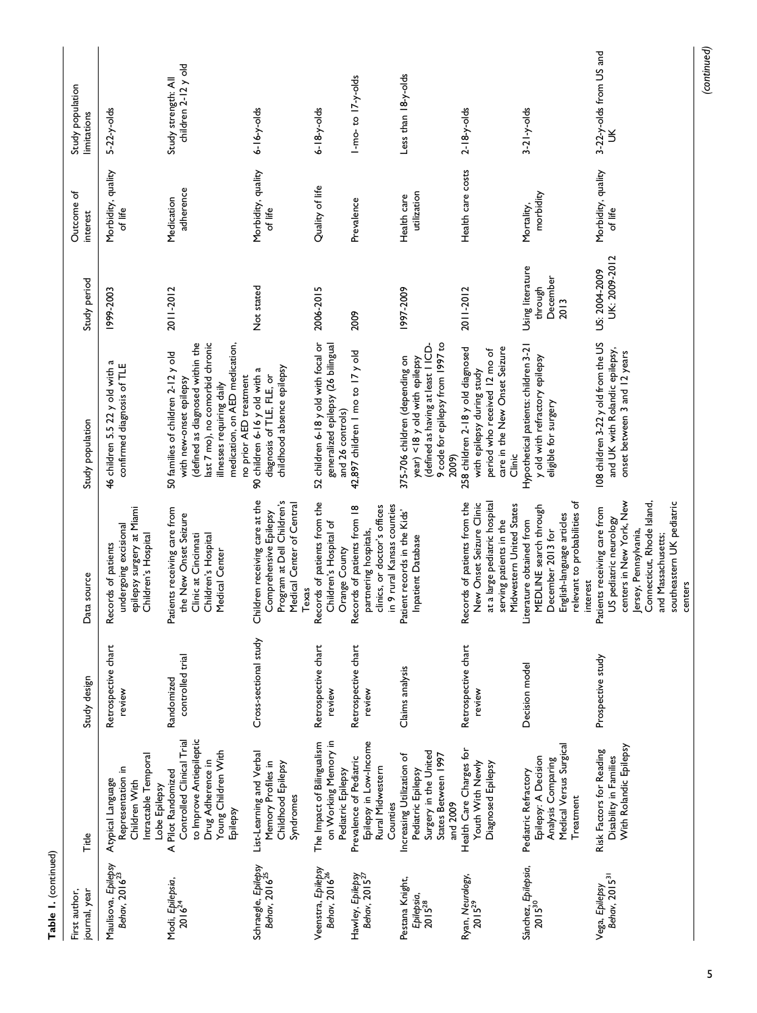| First author,<br>ournal, year                       | Title                                                                                                                               | Study design                   | Data source                                                                                                                                                                                             | Study population                                                                                                                                                                                                             | Study period                                    | Outcome of<br>interest        | Study population<br>limitations            |
|-----------------------------------------------------|-------------------------------------------------------------------------------------------------------------------------------------|--------------------------------|---------------------------------------------------------------------------------------------------------------------------------------------------------------------------------------------------------|------------------------------------------------------------------------------------------------------------------------------------------------------------------------------------------------------------------------------|-------------------------------------------------|-------------------------------|--------------------------------------------|
| Maulisova, Epilepsy<br>Behav, 2016 <sup>23</sup>    | Intractable Temporal<br>Representation in<br>Atypical Language<br>Children With<br>Lobe Epilepsy                                    | Retrospective chart<br>review  | epilepsy surgery at Miami<br>undergoing excisional<br>Children's Hospital<br>Records of patients                                                                                                        | 46 children 5.5 22 y old with a<br>confirmed diagnosis of TLE                                                                                                                                                                | 1999-2003                                       | Morbidity, quality<br>of life | $5-22-y$ -olds                             |
| Modi, Epilepsia,<br>$2016^{24}$                     | to Improve Antiepileptic<br>Controlled Clinical Trial<br>Young Children With<br>Drug Adherence in<br>A Pilot Randomized<br>Epilepsy | controlled trial<br>Randomized | atients receiving care from<br>the New Onset Seizure<br>Clinic at Cincinnati<br>Children's Hospital<br>Medical Center                                                                                   | last 7 mo), no comorbid chronic<br>defined as diagnosed within the<br>medication, on AED medication,<br>50 families of children 2-12 y old<br>no prior AED treatment<br>with new-onset epilepsy<br>illnesses requiring daily | 2011-2012                                       | adherence<br>Medication       | children 2-12 y old<br>Study strength: All |
| Schraegle, Epilepsy<br>Behav, 2016 <sup>25</sup>    | List-Learning and Verbal<br>Memory Profiles in<br>Childhood Epilepsy<br>Syndromes                                                   | Cross-sectional study          | Children receiving care at the<br>Program at Dell Children's<br>Medical Center of Central<br>Comprehensive Epilepsy<br>Texas                                                                            | childhood absence epilepsy<br>90 children 6-16 y old with a<br>diagnosis of TLE, FLE, or                                                                                                                                     | Not stated                                      | Morbidity, quality<br>of life | $6 - 16 - y - olds$                        |
| Veenstra, Epilepsy<br>Behav, 2016 <sup>26</sup>     | on Working Memory in<br>The Impact of Bilingualism<br>Pediatric Epilepsy                                                            | Retrospective chart<br>review  | Records of patients from the<br>Children's Hospital of<br>Orange County                                                                                                                                 | 52 children 6-18 y old with focal or<br>generalized epilepsy (26 bilingual<br>and 26 controls)                                                                                                                               | 2006-2015                                       | Quality of life               | $6 - 18 - y - olds$                        |
| Hawley, Epilepsy<br>Behav, 2015 <sup>27</sup>       | Epilepsy in Low-Income<br>Prevalence of Pediatric<br>Rural Midwestern<br>Counties                                                   | Retrospective chart<br>review  | in 9 rural Kansas counties<br>clinics, or doctor's offices<br>Records of patients from 18<br>partnering hospitals,                                                                                      | 42,897 children   mo to 17 y old                                                                                                                                                                                             | 2009                                            | Prevalence                    | $1$ -mo-to $17-y$ -olds                    |
| Pestana Knight,<br>Epilepsia,<br>2015 <sup>28</sup> | Surgery in the United<br>States Between 1997<br>Increasing Utilization of<br>Pediatric Epilepsy<br>and 2009                         | Claims analysis                | Patient records in the Kids'<br>Inpatient Database                                                                                                                                                      | 9 code for epilepsy from 1997 to<br>(defined as having at least   ICD-<br>375-706 children (depending on<br>year) <18 y old with epilepsy<br>2009)                                                                           | 1997-2009                                       | utilization<br>Health care    | Less than 18-y-olds                        |
| Ryan, Neurology,<br>$2015^{29}$                     | Health Care Charges for<br>Youth With Newly<br>Diagnosed Epilepsy                                                                   | Retrospective chart<br>review  | at a large pediatric hospital<br>Records of patients from the<br>New Onset Seizure Clinic<br>Midwestern United States<br>serving patients in the                                                        | 258 children 2-18 y old diagnosed<br>care in the New Onset Seizure<br>period who received 12 mo of<br>with epilepsy during study<br>Clinic                                                                                   | 2011-2012                                       | Health care costs             | $2 - 18 - y - olds$                        |
| Sánchez, <i>Epilepsia</i> ,<br>2015 <sup>30</sup>   | Medical Versus Surgical<br>Epilepsy: A Decision<br>Analysis Comparing<br>Pediatric Refractory<br>Treatment                          | Decision model                 | relevant to probabilities of<br>MEDLINE search through<br>English-language articles<br>iterature obtained from<br>December 2013 for<br>interest                                                         | Hypothetical patients: children 3-21<br>y old with refractory epilepsy<br>eligible for surgery                                                                                                                               | Using literature<br>December<br>through<br>2013 | morbidity<br>Mortality,       | $3 - 21 - y - olds$                        |
| Behav, 2015 <sup>31</sup><br>Vega, Epilepsy         | With Rolandic Epilepsy<br>Risk Factors for Reading<br>Disability in Families                                                        | Prospective study              | centers in New York, New<br>Connecticut, Rhode Island,<br>southeastern UK pediatric<br>Patients receiving care from<br>US pediatric neurology<br>Jersey, Pennsylvania,<br>and Massachusetts;<br>centers | 108 children 3-22 y old from the US<br>and UK with Rolandic epilepsy,<br>onset between 3 and 12 years                                                                                                                        | UK: 2009-2012<br>US: 2004-2009                  | Morbidity, quality<br>of life | 3-22-y-olds from US and<br>š               |

(continued)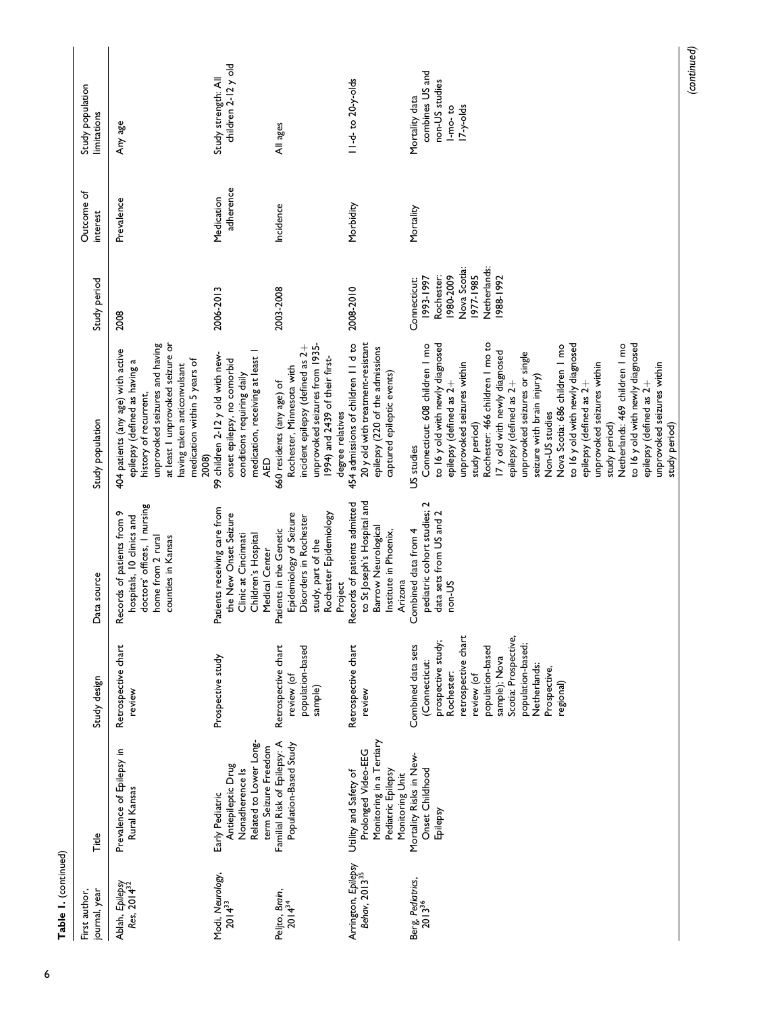| Table 1. (continued)                             |                                                                                                                   |                                                                                                                                                                                                                                             |                                                                                                                                         |                                                                                                                                                                                                                                                                                                                                                                                                                                                                                                                                                                                                                                            |                                                                                                                |                         |                                                                                  |
|--------------------------------------------------|-------------------------------------------------------------------------------------------------------------------|---------------------------------------------------------------------------------------------------------------------------------------------------------------------------------------------------------------------------------------------|-----------------------------------------------------------------------------------------------------------------------------------------|--------------------------------------------------------------------------------------------------------------------------------------------------------------------------------------------------------------------------------------------------------------------------------------------------------------------------------------------------------------------------------------------------------------------------------------------------------------------------------------------------------------------------------------------------------------------------------------------------------------------------------------------|----------------------------------------------------------------------------------------------------------------|-------------------------|----------------------------------------------------------------------------------|
| First author,<br>journal, year                   | Title                                                                                                             | Study design                                                                                                                                                                                                                                | Data source                                                                                                                             | Study population                                                                                                                                                                                                                                                                                                                                                                                                                                                                                                                                                                                                                           | Study period                                                                                                   | Outcome of<br>interest  | Study population<br>limitations                                                  |
| Ablah, Epilepsy<br>Res, 2014 <sup>32</sup>       | Prevalence of Epilepsy in<br>Rural Kansas                                                                         | Retrospective chart<br>review                                                                                                                                                                                                               | doctors' offices, I nursing<br>Records of patients from 9<br>hospitals, 10 clinics and<br>home from 2 rural<br>counties in Kansas       | at least I unprovoked seizure or<br>unprovoked seizures and having<br>404 patients (any age) with active<br>medication within 5 years of<br>epilepsy (defined as having a<br>having taken anticonvulsant<br>history of recurrent,<br>2008)                                                                                                                                                                                                                                                                                                                                                                                                 | 2008                                                                                                           | Prevalence              | Any age                                                                          |
| Modi, Neurology,<br>$2014^{33}$                  | Related to Lower Long-<br>term Seizure Freedom<br>Antiepileptic Drug<br>Nonadherence Is<br>Early Pediatric        | Prospective study                                                                                                                                                                                                                           | Patients receiving care from<br>the New Onset Seizure<br>Children's Hospital<br>Clinic at Cincinnati<br>Medical Center                  | medication, receiving at least I<br>99 children 2-12 y old with new-<br>onset epilepsy, no comorbid<br>conditions requiring daily<br><b>AED</b>                                                                                                                                                                                                                                                                                                                                                                                                                                                                                            | 2006-2013                                                                                                      | adherence<br>Medication | children 2-12 y old<br>Study strength: All                                       |
| Peljto, Brain,<br>$2014^{34}$                    | Familial Risk of Epilepsy: A<br>Population-Based Study                                                            | Retrospective chart<br>population-based<br>review (of<br>sample)                                                                                                                                                                            | Epidemiology of Seizure<br>Rochester Epidemiology<br>Disorders in Rochester<br>Patients in the Genetic<br>study, part of the<br>Project | unprovoked seizures from 1935-<br>incident epilepsy (defined as 2+<br>1994) and 2439 of their first-<br>Rochester, Minnesota with<br>660 residents (any age) of<br>degree relatives                                                                                                                                                                                                                                                                                                                                                                                                                                                        | 2003-2008                                                                                                      | Incidence               | All ages                                                                         |
| Arrington, Epilepsy<br>Behav, 2013 <sup>35</sup> | Monitoring in a Tertiary<br>Prolonged Video-EEG<br>Utility and Safety of<br>Pediatric Epilepsy<br>Monitoring Unit | Retrospective chart<br>review                                                                                                                                                                                                               | to St Joseph's Hospital and<br>ecords of patients admitted<br>Barrow Neurological<br>Institute in Phoenix,<br>Arizona<br>≃              | 20 y old with treatment-resistant<br>454 admissions of children II d to<br>epilepsy (220 of the admissions<br>captured epileptic events)                                                                                                                                                                                                                                                                                                                                                                                                                                                                                                   | 2008-2010                                                                                                      | Morbidity               | II-d-to 20-y-olds                                                                |
| Berg, Pediatrics,<br>2013 <sup>36</sup>          | Mortality Risks in New-<br>Onset Childhood<br>Epilepsy                                                            | retrospective chart<br>Scotia: Prospective,<br>prospective study;<br>population-based;<br>Combined data sets<br>population-based<br>sample); Nova<br>(Connecticut:<br>Netherlands:<br>Prospective,<br>Rochester:<br>review (of<br>regional) | pediatric cohort studies; 2<br>data sets from US and 2<br>ombined data from 4<br>non-US                                                 | to 16 y old with newly diagnosed<br>to 16 y old with newly diagnosed<br>to 16 y old with newly diagnosed<br>Rochester: 466 children   mo to<br>Netherlands: 469 children   mo<br>Connecticut: 608 children   mo<br>Nova Scotia: 686 children 1 mo<br>17 y old with newly diagnosed<br>unprovoked seizures or single<br>unprovoked seizures within<br>unprovoked seizures within<br>unprovoked seizures within<br>seizure with brain injury)<br>epilepsy (defined as 2+<br>epilepsy (defined as 2+<br>epilepsy (defined as 2+<br>epilepsy (defined as 2+<br>Non-US studies<br>study period)<br>study period)<br>study period)<br>US studies | Netherlands:<br>Nova Scotia:<br>1977-1985<br>1980-2009<br>Rochester:<br>1988-1992<br>1993-1997<br>Connecticut: | Mortality               | combines US and<br>non-US studies<br>Mortality data<br>$17-y$ -olds<br>$1-mo-to$ |

(continued)

6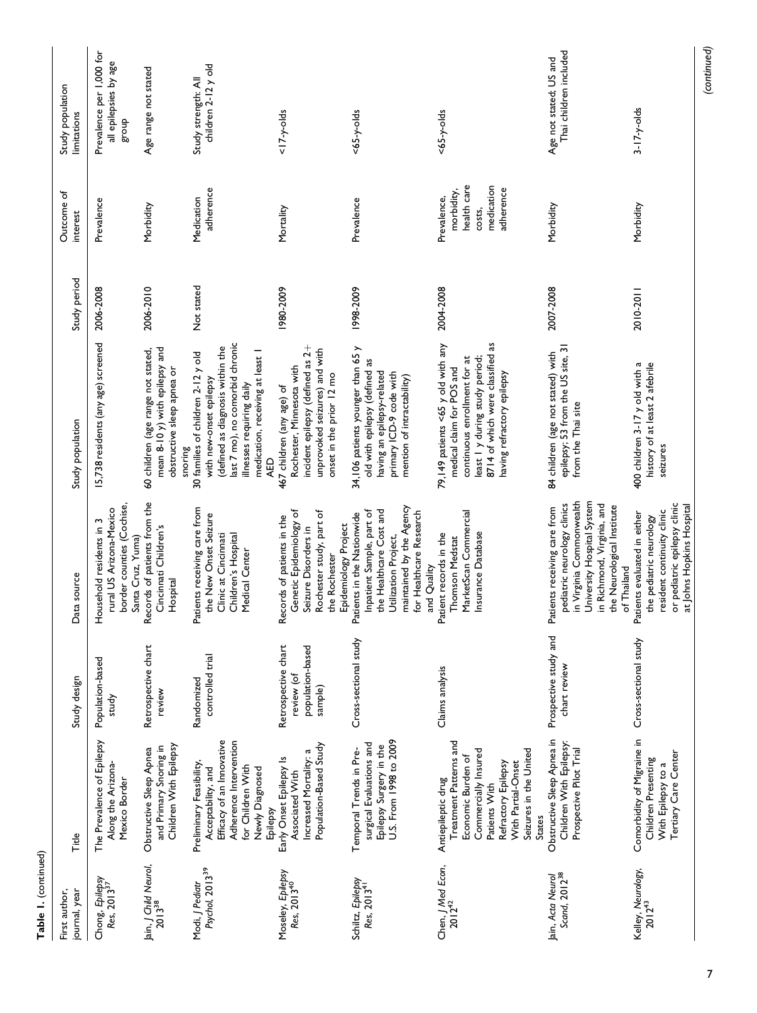| journal, year<br>First author,                     | Title                                                                                                                                                                                               | Study design                                                     | Data source                                                                                                                                                                                      | Study population                                                                                                                                                                                                    | Study period | Outcome of<br>interest                                                        | Study population<br>limitations                             |
|----------------------------------------------------|-----------------------------------------------------------------------------------------------------------------------------------------------------------------------------------------------------|------------------------------------------------------------------|--------------------------------------------------------------------------------------------------------------------------------------------------------------------------------------------------|---------------------------------------------------------------------------------------------------------------------------------------------------------------------------------------------------------------------|--------------|-------------------------------------------------------------------------------|-------------------------------------------------------------|
| Chong, Epilepsy<br>Res, 2013 <sup>37</sup>         | The Prevalence of Epilepsy<br>Along the Arizona-<br>Mexico Border                                                                                                                                   | Population-based<br>study                                        | border counties (Cochise,<br>rural US Arizona-Mexico<br>Household residents in 3<br>Santa Cruz, Yuma)                                                                                            | 15,738 residents (any age) screened                                                                                                                                                                                 | 2006-2008    | Prevalence                                                                    | Prevalence per 1,000 for<br>all epilepsies by age<br>dno.18 |
| Jain, <i>J Child</i> Neurol,<br>2013 <sup>38</sup> | Children With Epilepsy<br>and Primary Snoring in<br>Obstructive Sleep Apnea                                                                                                                         | Retrospective chart<br>review                                    | Records of patients from the<br>Cincinnati Children's<br>Hospital                                                                                                                                | mean 8-10 y) with epilepsy and<br>60 children (age range not stated,<br>obstructive sleep apnea or<br>snoring                                                                                                       | 2006-2010    | Morbidity                                                                     | Age range not stated                                        |
| Psychol, 2013 <sup>39</sup><br>Modi, J Pediatr     | Efficacy of an Innovative<br>Adherence Intervention<br>Preliminary Feasibility<br>for Children With<br>Newly Diagnosed<br>Acceptability, and<br>Epilepsy                                            | controlled trial<br>Randomized                                   | Patients receiving care from<br>the New Onset Seizure<br>Clinic at Cincinnati<br>Children's Hospital<br>Medical Center                                                                           | last 7 mo), no comorbid chronic<br>(defined as diagnosis within the<br>medication, receiving at least I<br>30 families of children 2-12 y old<br>with new-onset epilepsy<br>illnesses requiring daily<br><b>AED</b> | Not stated   | adherence<br>Medication                                                       | children 2-12 y old<br>Study strength: All                  |
| Moseley, Epilepsy<br>Res, 2013 <sup>40</sup>       | Population-Based Study<br>Increased Mortality: a<br>Early Onset Epilepsy Is<br>Associated With                                                                                                      | Retrospective chart<br>population-based<br>review (of<br>sample) | Genetic Epidemiology of<br>Rochester study, part of<br>Records of patients in the<br>Epidemiology Project<br>Seizure Disorders in<br>the Rochester                                               | incident epilepsy (defined as 2+<br>unprovoked seizures) and with<br>Rochester, Minnesota with<br>onset in the prior 12 mo<br>467 children (any age) of                                                             | 1980-2009    | Mortality                                                                     | $17-y$ -olds                                                |
| Schiltz, Epilepsy<br>Res, 2013 <sup>41</sup>       | U.S. From 1998 to 2009<br>surgical Evaluations and<br>Epilepsy Surgery in the<br>Temporal Trends in Pre-                                                                                            | Cross-sectional study                                            | maintained by the Agency<br>the Healthcare Cost and<br>Inpatient Sample, part of<br>for Healthcare Research<br>Patients in the Nationwide<br>Utilization Project,<br>and Quality                 | 34,106 patients younger than 65 y<br>old with epilepsy (defined as<br>having an epilepsy-related<br>primary ICD-9 code with<br>mention of intractability)                                                           | 1998-2009    | Prevalence                                                                    | $<65-y-olds$                                                |
| Chen, J Med Econ,<br>$2012^{42}$                   | Treatment Patterns and<br>Seizures in the United<br>Commercially Insured<br>Economic Burden of<br>With Partial-Onset<br>Refractory Epilepsy<br>Antiepileptic drug<br>Patients With<br><b>States</b> | Claims analysis                                                  | MarketScan Commercial<br>Insurance Database<br>Patient records in the<br>Thomson Medstat                                                                                                         | 79,149 patients <65 y old with any<br>8714 of which were classified as<br>least I y during study period;<br>continuous enrollment for at<br>medical claim for POS and<br>having refractory epilepsy                 | 2004-2008    | health care<br>medication<br>adherence<br>morbidity,<br>Prevalence,<br>costs, | $<65-y-olds$                                                |
| Jain, Acta Neurol<br>Scand, 2012 <sup>38</sup>     | Obstructive Sleep Apnea in<br>Children With Epilepsy:<br>Prospective Pilot Trial                                                                                                                    | Prospective study and<br>chart review                            | in Virginia Commonwealth<br>University Hospital System<br>pediatric neurology clinics<br>in Richmond, Virginia, and<br>the Neurological Institute<br>Patients receiving care from<br>of Thailand | epilepsy; 53 from the US site, 31<br>84 children (age not stated) with<br>from the Thai site                                                                                                                        | 2007-2008    | Morbidity                                                                     | Thai children included<br>Age not stated; US and            |
| Kelley, Neurology,<br>2012 <sup>43</sup>           | Comorbidity of Migraine in<br>Tertiary Care Center<br>Children Presenting<br>With Epilepsy to a                                                                                                     | Cross-sectional study                                            | or pediatric epilepsy clinic<br>at Johns Hopkins Hospital<br>resident continuity clinic<br>Patients evaluated in either<br>the pediatric neurology                                               | 400 children 3-17 y old with a<br>history of at least 2 afebrile<br>seizures                                                                                                                                        | 2010-2011    | Morbidity                                                                     | $3-17-y$ -olds                                              |
|                                                    |                                                                                                                                                                                                     |                                                                  |                                                                                                                                                                                                  |                                                                                                                                                                                                                     |              |                                                                               | (continued)                                                 |

Table 1. (continued)

Table 1. (continued)

7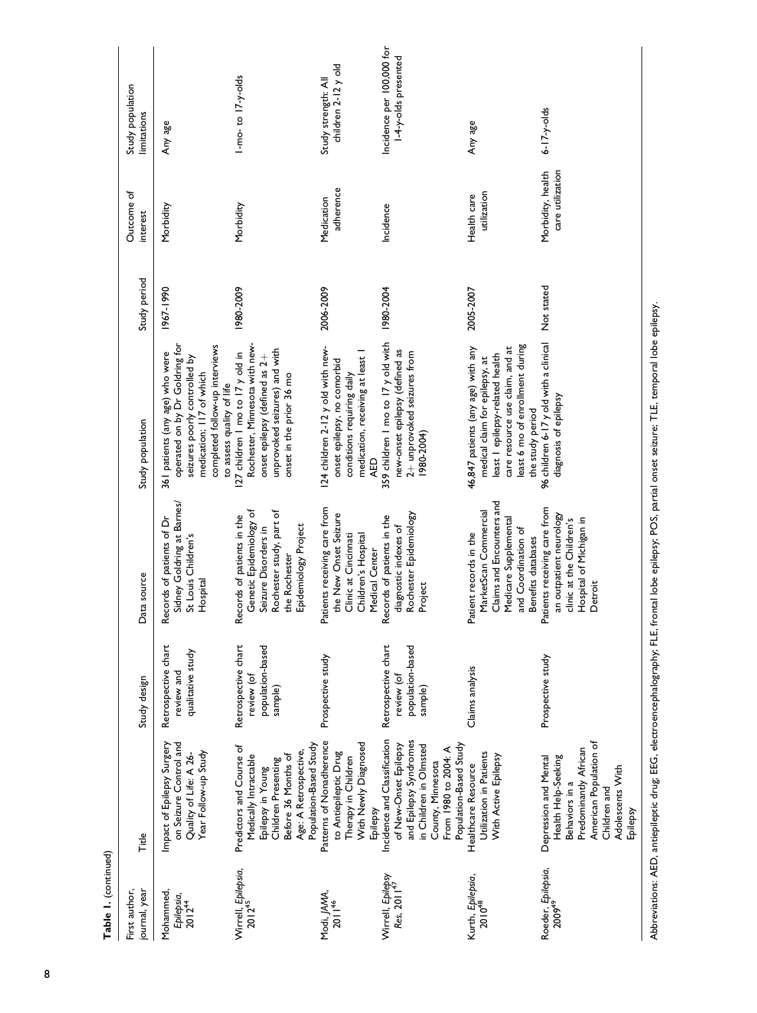| Table 1. (continued)                            |                                                                                                                                                                                  |                                                                  |                                                                                                                                                    |                                                                                                                                                                                                   |              |                                       |                                                   |
|-------------------------------------------------|----------------------------------------------------------------------------------------------------------------------------------------------------------------------------------|------------------------------------------------------------------|----------------------------------------------------------------------------------------------------------------------------------------------------|---------------------------------------------------------------------------------------------------------------------------------------------------------------------------------------------------|--------------|---------------------------------------|---------------------------------------------------|
| journal, year<br>First author,                  | Title                                                                                                                                                                            | Study design                                                     | Data source                                                                                                                                        | Study population                                                                                                                                                                                  | Study period | Outcome of<br>interest                | Study population<br>limitations                   |
| Mohammed,<br>Epilepsia,<br>$2012^{44}$          | on Seizure Control and<br>Impact of Epilepsy Surgery<br>Year Follow-up Study<br>Quality of Life: A 26-                                                                           | Retrospective chart<br>qualitative study<br>review and           | Sidney Goldring at Barnes/<br>Records of patients of Dr<br>St Louis Children's<br>Hospital                                                         | operated on by Dr Goldring for<br>completed follow-up interviews<br>361 patients (any age) who were<br>seizures poorly controlled by<br>medication; 117 of which<br>to assess quality of life     | 1967-1990    | Morbidity                             | Any age                                           |
| Wirrell, Epilepsia,<br>2012 <sup>45</sup>       | Population-Based Study<br>Predictors and Course of<br>Age: A Retrospective,<br>Medically Intractable<br>Before 36 Months of<br>Children Presenting<br>Epilepsy in Young          | Retrospective chart<br>population-based<br>review (of<br>sample) | Genetic Epidemiology of<br>Rochester study, part of<br>Records of patients in the<br>Epidemiology Project<br>Seizure Disorders in<br>the Rochester | Rochester, Minnesota with new-<br>unprovoked seizures) and with<br>127 children 1 mo to 17 y old in<br>onset epilepsy (defined as 2+<br>onset in the prior 36 mo                                  | 1980-2009    | Morbidity                             | I-mo-to I7-y-olds                                 |
| Modi, <i>JAMA</i> ,<br>201146                   | Patterns of Nonadherence<br>With Newly Diagnosed<br>to Antiepileptic Drug<br>Therapy in Children<br>Epilepsy                                                                     | Prospective study                                                | Patients receiving care from<br>the New Onset Seizure<br>Clinic at Cincinnati<br>Children's Hospital<br>Medical Center                             | 124 children 2-12 y old with new-<br>medication, receiving at least I<br>onset epilepsy, no comorbid<br>conditions requiring daily<br>AED                                                         | 2006-2009    | adherence<br>Medication               | children 2-12 y old<br>Study strength: All        |
| Wirrell, Epilepsy<br>Res, 2011 <sup>47</sup>    | Incidence and Classification<br>and Epilepsy Syndromes<br>Population-Based Study<br>in Children in Olmsted<br>of New-Onset Epilepsy<br>From 1980 to 2004: A<br>County, Minnesota | Retrospective chart<br>population-based<br>review (of<br>sample) | Rochester Epidemiology<br>Records of patients in the<br>diagnostic indexes of<br>Project                                                           | 359 children I mo to 17 y old with<br>new-onset epilepsy (defined as<br>2+ unprovoked seizures from<br>(1980-2004                                                                                 | 1980-2004    | Incidence                             | Incidence per 100,000 for<br>1-4-y-olds presented |
| Kurth, <i>Epilepsia</i> ,<br>2010 <sup>48</sup> | Utilization in Patients<br>With Active Epilepsy<br>Healthcare Resource                                                                                                           | Claims analysis                                                  | Claims and Encounters and<br>MarketScan Commercial<br>Medicare Supplemental<br>and Coordination of<br>Patient records in the<br>Benefits databases | least 6 mo of enrollment during<br>care resource use claim, and at<br>46,847 patients (any age) with any<br>least I epilepsy-related health<br>medical claim for epilepsy, at<br>the study period | 2005-2007    | utilization<br>Health care            | Any age                                           |
| Roeder, Epilepsia,<br>2009 <sup>49</sup>        | American Population of<br>Predominantly African<br>Depression and Mental<br>Health Help-Seeking<br>Adolescents With<br>Behaviors in a<br>Children and<br>Epilepsy                | Prospective study                                                | Patients receiving care from<br>an outpatient neurology<br>Hospital of Michigan in<br>clinic at the Children's<br>Detroit                          | 96 children 6-17 y old with a clinical Not stated<br>diagnosis of epilepsy                                                                                                                        |              | Morbidity, health<br>care utilization | $6 - 17 - y - olds$                               |
|                                                 | Abbreviations: AED, antiepileptic drug; EEG, electroencephalography; FLE,                                                                                                        |                                                                  |                                                                                                                                                    | frontal lobe epilepsy; POS, partial onset seizure; TLE, temporal lobe epilepsy.                                                                                                                   |              |                                       |                                                   |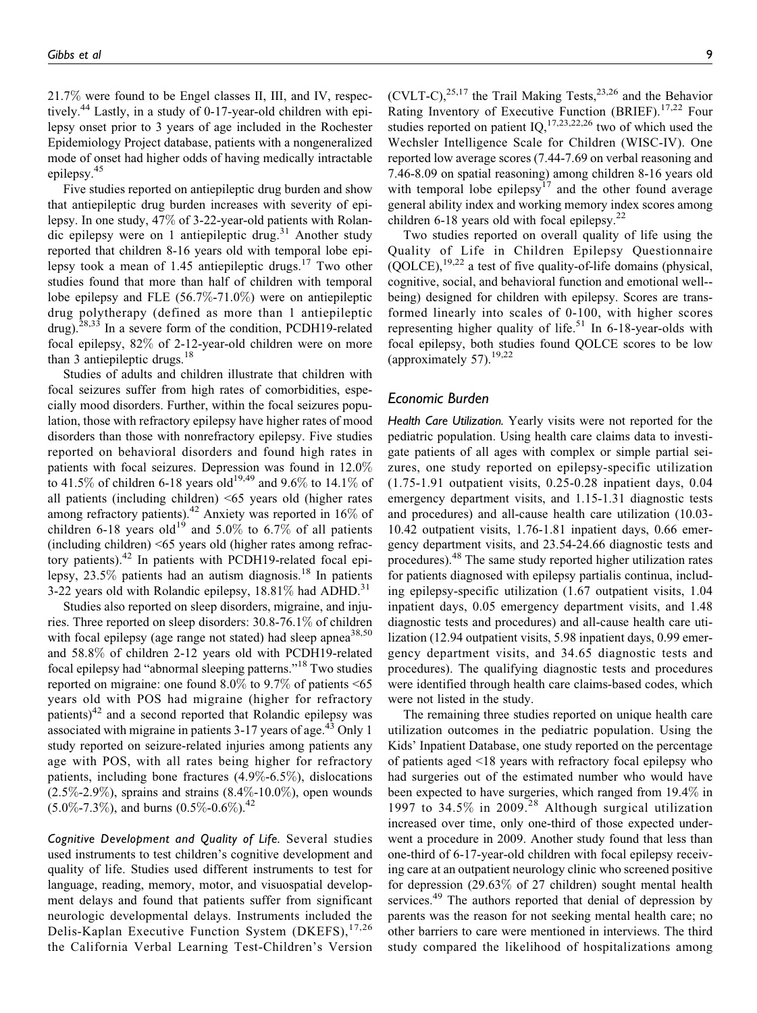21.7% were found to be Engel classes II, III, and IV, respectively.<sup>44</sup> Lastly, in a study of 0-17-year-old children with epilepsy onset prior to 3 years of age included in the Rochester Epidemiology Project database, patients with a nongeneralized mode of onset had higher odds of having medically intractable epilepsy.<sup>45</sup>

Five studies reported on antiepileptic drug burden and show that antiepileptic drug burden increases with severity of epilepsy. In one study, 47% of 3-22-year-old patients with Rolandic epilepsy were on 1 antiepileptic drug.<sup>31</sup> Another study reported that children 8-16 years old with temporal lobe epilepsy took a mean of 1.45 antiepileptic drugs.<sup>17</sup> Two other studies found that more than half of children with temporal lobe epilepsy and FLE (56.7%-71.0%) were on antiepileptic drug polytherapy (defined as more than 1 antiepileptic drug).<sup>28,33</sup> In a severe form of the condition, PCDH19-related focal epilepsy, 82% of 2-12-year-old children were on more than 3 antiepileptic drugs. $18$ 

Studies of adults and children illustrate that children with focal seizures suffer from high rates of comorbidities, especially mood disorders. Further, within the focal seizures population, those with refractory epilepsy have higher rates of mood disorders than those with nonrefractory epilepsy. Five studies reported on behavioral disorders and found high rates in patients with focal seizures. Depression was found in 12.0% to 41.5% of children 6-18 years old<sup>19,49</sup> and 9.6% to 14.1% of all patients (including children) <65 years old (higher rates among refractory patients).42 Anxiety was reported in 16% of children 6-18 years old<sup>19</sup> and 5.0% to 6.7% of all patients (including children) <65 years old (higher rates among refractory patients).<sup>42</sup> In patients with PCDH19-related focal epilepsy,  $23.5\%$  patients had an autism diagnosis.<sup>18</sup> In patients 3-22 years old with Rolandic epilepsy,  $18.81\%$  had ADHD.<sup>31</sup>

Studies also reported on sleep disorders, migraine, and injuries. Three reported on sleep disorders: 30.8-76.1% of children with focal epilepsy (age range not stated) had sleep apnea<sup>38,50</sup> and 58.8% of children 2-12 years old with PCDH19-related focal epilepsy had "abnormal sleeping patterns."<sup>18</sup> Two studies reported on migraine: one found  $8.0\%$  to  $9.7\%$  of patients <65 years old with POS had migraine (higher for refractory patients)<sup>42</sup> and a second reported that Rolandic epilepsy was associated with migraine in patients  $3-17$  years of age.<sup>43</sup> Only 1 study reported on seizure-related injuries among patients any age with POS, with all rates being higher for refractory patients, including bone fractures (4.9%-6.5%), dislocations  $(2.5\% - 2.9\%)$ , sprains and strains  $(8.4\% - 10.0\%)$ , open wounds  $(5.0\% - 7.3\%)$ , and burns  $(0.5\% - 0.6\%)$ <sup>42</sup>

Cognitive Development and Quality of Life. Several studies used instruments to test children's cognitive development and quality of life. Studies used different instruments to test for language, reading, memory, motor, and visuospatial development delays and found that patients suffer from significant neurologic developmental delays. Instruments included the Delis-Kaplan Executive Function System (DKEFS),<sup>17,26</sup> the California Verbal Learning Test-Children's Version

(CVLT-C),<sup>25,17</sup> the Trail Making Tests,<sup>23,26</sup> and the Behavior Rating Inventory of Executive Function (BRIEF).<sup>17,22</sup> Four studies reported on patient  $IQ<sub>1</sub><sup>17,23,22,26</sup>$  two of which used the Wechsler Intelligence Scale for Children (WISC-IV). One reported low average scores (7.44-7.69 on verbal reasoning and 7.46-8.09 on spatial reasoning) among children 8-16 years old with temporal lobe epilepsy<sup>17</sup> and the other found average general ability index and working memory index scores among children 6-18 years old with focal epilepsy. $22$ 

Two studies reported on overall quality of life using the Quality of Life in Children Epilepsy Questionnaire  $(QOLCE)$ ,  $^{19,22}$  a test of five quality-of-life domains (physical, cognitive, social, and behavioral function and emotional well- being) designed for children with epilepsy. Scores are transformed linearly into scales of 0-100, with higher scores representing higher quality of life.<sup>51</sup> In 6-18-year-olds with focal epilepsy, both studies found QOLCE scores to be low (approximately 57).<sup>19,22</sup>

## Economic Burden

Health Care Utilization. Yearly visits were not reported for the pediatric population. Using health care claims data to investigate patients of all ages with complex or simple partial seizures, one study reported on epilepsy-specific utilization (1.75-1.91 outpatient visits, 0.25-0.28 inpatient days, 0.04 emergency department visits, and 1.15-1.31 diagnostic tests and procedures) and all-cause health care utilization (10.03- 10.42 outpatient visits, 1.76-1.81 inpatient days, 0.66 emergency department visits, and 23.54-24.66 diagnostic tests and procedures).<sup>48</sup> The same study reported higher utilization rates for patients diagnosed with epilepsy partialis continua, including epilepsy-specific utilization (1.67 outpatient visits, 1.04 inpatient days, 0.05 emergency department visits, and 1.48 diagnostic tests and procedures) and all-cause health care utilization (12.94 outpatient visits, 5.98 inpatient days, 0.99 emergency department visits, and 34.65 diagnostic tests and procedures). The qualifying diagnostic tests and procedures were identified through health care claims-based codes, which were not listed in the study.

The remaining three studies reported on unique health care utilization outcomes in the pediatric population. Using the Kids' Inpatient Database, one study reported on the percentage of patients aged <18 years with refractory focal epilepsy who had surgeries out of the estimated number who would have been expected to have surgeries, which ranged from 19.4% in 1997 to 34.5% in 2009.<sup>28</sup> Although surgical utilization increased over time, only one-third of those expected underwent a procedure in 2009. Another study found that less than one-third of 6-17-year-old children with focal epilepsy receiving care at an outpatient neurology clinic who screened positive for depression (29.63% of 27 children) sought mental health services.<sup>49</sup> The authors reported that denial of depression by parents was the reason for not seeking mental health care; no other barriers to care were mentioned in interviews. The third study compared the likelihood of hospitalizations among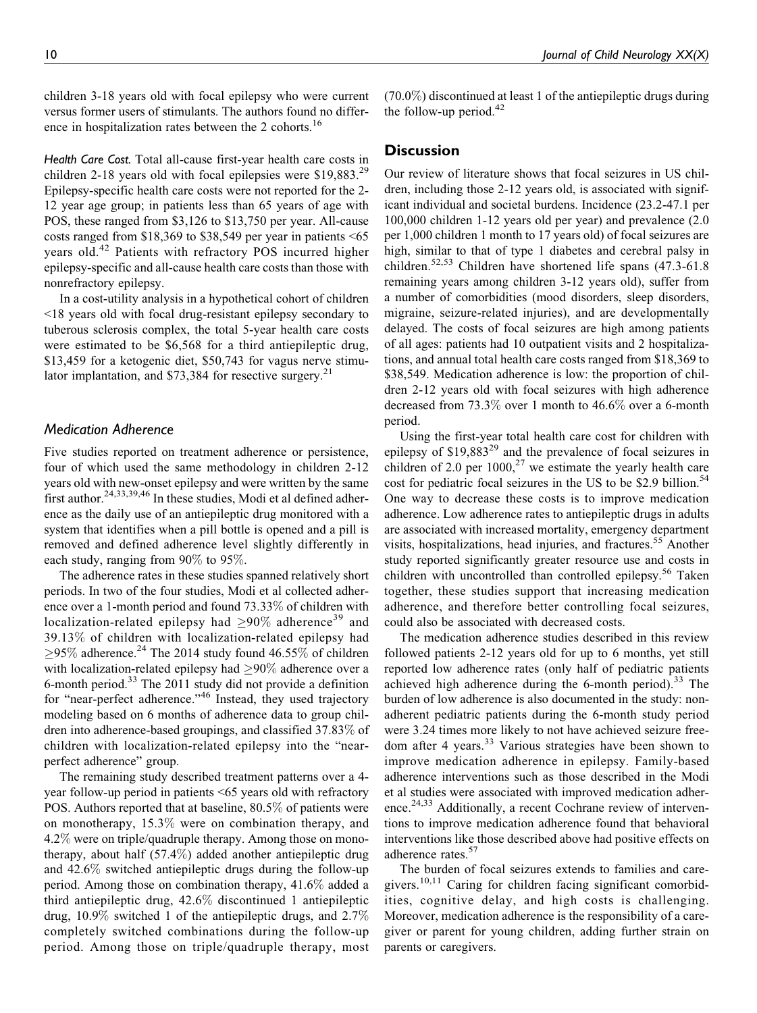children 3-18 years old with focal epilepsy who were current versus former users of stimulants. The authors found no difference in hospitalization rates between the 2 cohorts.<sup>16</sup>

Health Care Cost. Total all-cause first-year health care costs in children 2-18 years old with focal epilepsies were  $$19,883<sup>29</sup>$ Epilepsy-specific health care costs were not reported for the 2- 12 year age group; in patients less than 65 years of age with POS, these ranged from \$3,126 to \$13,750 per year. All-cause costs ranged from \$18,369 to \$38,549 per year in patients <65 years old.<sup>42</sup> Patients with refractory POS incurred higher epilepsy-specific and all-cause health care costs than those with nonrefractory epilepsy.

In a cost-utility analysis in a hypothetical cohort of children <18 years old with focal drug-resistant epilepsy secondary to tuberous sclerosis complex, the total 5-year health care costs were estimated to be \$6,568 for a third antiepileptic drug, \$13,459 for a ketogenic diet, \$50,743 for vagus nerve stimulator implantation, and  $$73,384$  for resective surgery.<sup>21</sup>

## Medication Adherence

Five studies reported on treatment adherence or persistence, four of which used the same methodology in children 2-12 years old with new-onset epilepsy and were written by the same first author.<sup>24,33,39,46</sup> In these studies, Modi et al defined adherence as the daily use of an antiepileptic drug monitored with a system that identifies when a pill bottle is opened and a pill is removed and defined adherence level slightly differently in each study, ranging from 90% to 95%.

The adherence rates in these studies spanned relatively short periods. In two of the four studies, Modi et al collected adherence over a 1-month period and found 73.33% of children with localization-related epilepsy had  $\geq 90\%$  adherence<sup>39</sup> and 39.13% of children with localization-related epilepsy had  $\geq$ 95% adherence.<sup>24</sup> The 2014 study found 46.55% of children with localization-related epilepsy had  $\geq 90\%$  adherence over a 6-month period.<sup>33</sup> The 2011 study did not provide a definition for "near-perfect adherence."<sup>46</sup> Instead, they used trajectory modeling based on 6 months of adherence data to group children into adherence-based groupings, and classified 37.83% of children with localization-related epilepsy into the "nearperfect adherence" group.

The remaining study described treatment patterns over a 4 year follow-up period in patients <65 years old with refractory POS. Authors reported that at baseline, 80.5% of patients were on monotherapy, 15.3% were on combination therapy, and 4.2% were on triple/quadruple therapy. Among those on monotherapy, about half (57.4%) added another antiepileptic drug and 42.6% switched antiepileptic drugs during the follow-up period. Among those on combination therapy, 41.6% added a third antiepileptic drug, 42.6% discontinued 1 antiepileptic drug, 10.9% switched 1 of the antiepileptic drugs, and 2.7% completely switched combinations during the follow-up period. Among those on triple/quadruple therapy, most

## **Discussion**

Our review of literature shows that focal seizures in US children, including those 2-12 years old, is associated with significant individual and societal burdens. Incidence (23.2-47.1 per 100,000 children 1-12 years old per year) and prevalence (2.0 per 1,000 children 1 month to 17 years old) of focal seizures are high, similar to that of type 1 diabetes and cerebral palsy in children.52,53 Children have shortened life spans (47.3-61.8 remaining years among children 3-12 years old), suffer from a number of comorbidities (mood disorders, sleep disorders, migraine, seizure-related injuries), and are developmentally delayed. The costs of focal seizures are high among patients of all ages: patients had 10 outpatient visits and 2 hospitalizations, and annual total health care costs ranged from \$18,369 to \$38,549. Medication adherence is low: the proportion of children 2-12 years old with focal seizures with high adherence decreased from 73.3% over 1 month to 46.6% over a 6-month period.

Using the first-year total health care cost for children with epilepsy of \$19,883<sup>29</sup> and the prevalence of focal seizures in children of 2.0 per  $1000$ ,<sup>27</sup> we estimate the yearly health care cost for pediatric focal seizures in the US to be \$2.9 billion.<sup>54</sup> One way to decrease these costs is to improve medication adherence. Low adherence rates to antiepileptic drugs in adults are associated with increased mortality, emergency department visits, hospitalizations, head injuries, and fractures.<sup>55</sup> Another study reported significantly greater resource use and costs in children with uncontrolled than controlled epilepsy.<sup>56</sup> Taken together, these studies support that increasing medication adherence, and therefore better controlling focal seizures, could also be associated with decreased costs.

The medication adherence studies described in this review followed patients 2-12 years old for up to 6 months, yet still reported low adherence rates (only half of pediatric patients achieved high adherence during the 6-month period).<sup>33</sup> The burden of low adherence is also documented in the study: nonadherent pediatric patients during the 6-month study period were 3.24 times more likely to not have achieved seizure freedom after 4 years.<sup>33</sup> Various strategies have been shown to improve medication adherence in epilepsy. Family-based adherence interventions such as those described in the Modi et al studies were associated with improved medication adherence.<sup>24,33</sup> Additionally, a recent Cochrane review of interventions to improve medication adherence found that behavioral interventions like those described above had positive effects on adherence rates.<sup>57</sup>

The burden of focal seizures extends to families and caregivers.<sup>10,11</sup> Caring for children facing significant comorbidities, cognitive delay, and high costs is challenging. Moreover, medication adherence is the responsibility of a caregiver or parent for young children, adding further strain on parents or caregivers.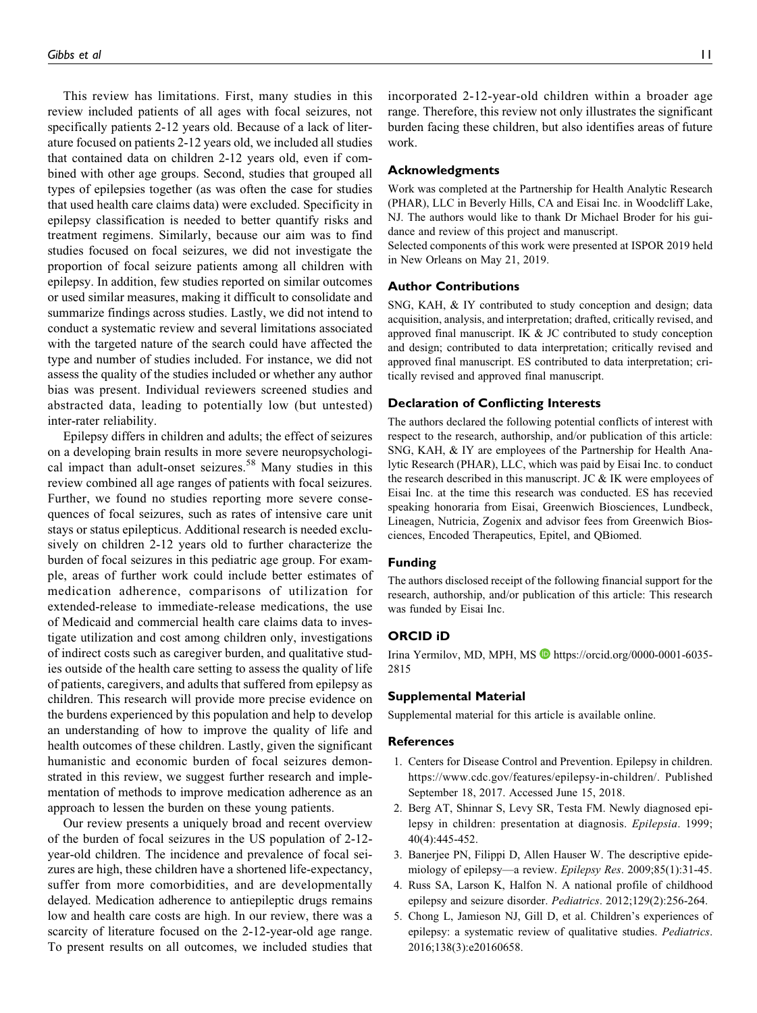This review has limitations. First, many studies in this review included patients of all ages with focal seizures, not specifically patients 2-12 years old. Because of a lack of literature focused on patients 2-12 years old, we included all studies that contained data on children 2-12 years old, even if combined with other age groups. Second, studies that grouped all types of epilepsies together (as was often the case for studies that used health care claims data) were excluded. Specificity in epilepsy classification is needed to better quantify risks and treatment regimens. Similarly, because our aim was to find studies focused on focal seizures, we did not investigate the proportion of focal seizure patients among all children with epilepsy. In addition, few studies reported on similar outcomes or used similar measures, making it difficult to consolidate and summarize findings across studies. Lastly, we did not intend to conduct a systematic review and several limitations associated with the targeted nature of the search could have affected the type and number of studies included. For instance, we did not assess the quality of the studies included or whether any author bias was present. Individual reviewers screened studies and abstracted data, leading to potentially low (but untested) inter-rater reliability.

Epilepsy differs in children and adults; the effect of seizures on a developing brain results in more severe neuropsychological impact than adult-onset seizures.<sup>58</sup> Many studies in this review combined all age ranges of patients with focal seizures. Further, we found no studies reporting more severe consequences of focal seizures, such as rates of intensive care unit stays or status epilepticus. Additional research is needed exclusively on children 2-12 years old to further characterize the burden of focal seizures in this pediatric age group. For example, areas of further work could include better estimates of medication adherence, comparisons of utilization for extended-release to immediate-release medications, the use of Medicaid and commercial health care claims data to investigate utilization and cost among children only, investigations of indirect costs such as caregiver burden, and qualitative studies outside of the health care setting to assess the quality of life of patients, caregivers, and adults that suffered from epilepsy as children. This research will provide more precise evidence on the burdens experienced by this population and help to develop an understanding of how to improve the quality of life and health outcomes of these children. Lastly, given the significant humanistic and economic burden of focal seizures demonstrated in this review, we suggest further research and implementation of methods to improve medication adherence as an approach to lessen the burden on these young patients.

Our review presents a uniquely broad and recent overview of the burden of focal seizures in the US population of 2-12 year-old children. The incidence and prevalence of focal seizures are high, these children have a shortened life-expectancy, suffer from more comorbidities, and are developmentally delayed. Medication adherence to antiepileptic drugs remains low and health care costs are high. In our review, there was a scarcity of literature focused on the 2-12-year-old age range. To present results on all outcomes, we included studies that

incorporated 2-12-year-old children within a broader age range. Therefore, this review not only illustrates the significant burden facing these children, but also identifies areas of future work.

#### Acknowledgments

Work was completed at the Partnership for Health Analytic Research (PHAR), LLC in Beverly Hills, CA and Eisai Inc. in Woodcliff Lake, NJ. The authors would like to thank Dr Michael Broder for his guidance and review of this project and manuscript.

Selected components of this work were presented at ISPOR 2019 held in New Orleans on May 21, 2019.

## Author Contributions

SNG, KAH, & IY contributed to study conception and design; data acquisition, analysis, and interpretation; drafted, critically revised, and approved final manuscript. IK & JC contributed to study conception and design; contributed to data interpretation; critically revised and approved final manuscript. ES contributed to data interpretation; critically revised and approved final manuscript.

#### Declaration of Conflicting Interests

The authors declared the following potential conflicts of interest with respect to the research, authorship, and/or publication of this article: SNG, KAH, & IY are employees of the Partnership for Health Analytic Research (PHAR), LLC, which was paid by Eisai Inc. to conduct the research described in this manuscript. JC  $&$  IK were employees of Eisai Inc. at the time this research was conducted. ES has recevied speaking honoraria from Eisai, Greenwich Biosciences, Lundbeck, Lineagen, Nutricia, Zogenix and advisor fees from Greenwich Biosciences, Encoded Therapeutics, Epitel, and QBiomed.

## Funding

The authors disclosed receipt of the following financial support for the research, authorship, and/or publication of this article: This research was funded by Eisai Inc.

## ORCID iD

Irina Yermilov, MD, MPH, MS D https://orcid.org/0000-0001-6035-2815

## Supplemental Material

Supplemental material for this article is available online.

#### References

- 1. Centers for Disease Control and Prevention. Epilepsy in children. https://www.cdc.gov/features/epilepsy-in-children/. Published September 18, 2017. Accessed June 15, 2018.
- 2. Berg AT, Shinnar S, Levy SR, Testa FM. Newly diagnosed epilepsy in children: presentation at diagnosis. Epilepsia. 1999; 40(4):445-452.
- 3. Banerjee PN, Filippi D, Allen Hauser W. The descriptive epidemiology of epilepsy—a review. Epilepsy Res. 2009;85(1):31-45.
- 4. Russ SA, Larson K, Halfon N. A national profile of childhood epilepsy and seizure disorder. Pediatrics. 2012;129(2):256-264.
- 5. Chong L, Jamieson NJ, Gill D, et al. Children's experiences of epilepsy: a systematic review of qualitative studies. Pediatrics. 2016;138(3):e20160658.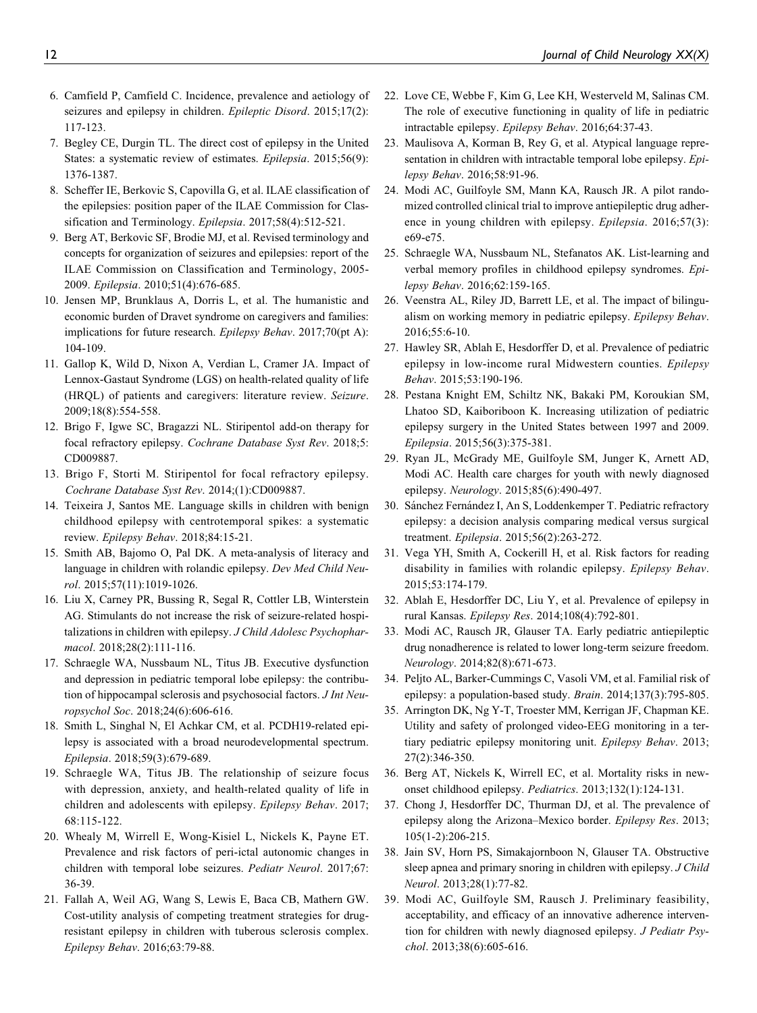- 6. Camfield P, Camfield C. Incidence, prevalence and aetiology of seizures and epilepsy in children. Epileptic Disord. 2015;17(2): 117-123.
- 7. Begley CE, Durgin TL. The direct cost of epilepsy in the United States: a systematic review of estimates. Epilepsia. 2015;56(9): 1376-1387.
- 8. Scheffer IE, Berkovic S, Capovilla G, et al. ILAE classification of the epilepsies: position paper of the ILAE Commission for Classification and Terminology. Epilepsia. 2017;58(4):512-521.
- 9. Berg AT, Berkovic SF, Brodie MJ, et al. Revised terminology and concepts for organization of seizures and epilepsies: report of the ILAE Commission on Classification and Terminology, 2005- 2009. Epilepsia. 2010;51(4):676-685.
- 10. Jensen MP, Brunklaus A, Dorris L, et al. The humanistic and economic burden of Dravet syndrome on caregivers and families: implications for future research. Epilepsy Behav. 2017;70(pt A): 104-109.
- 11. Gallop K, Wild D, Nixon A, Verdian L, Cramer JA. Impact of Lennox-Gastaut Syndrome (LGS) on health-related quality of life (HRQL) of patients and caregivers: literature review. Seizure. 2009;18(8):554-558.
- 12. Brigo F, Igwe SC, Bragazzi NL. Stiripentol add-on therapy for focal refractory epilepsy. Cochrane Database Syst Rev. 2018;5: CD009887.
- 13. Brigo F, Storti M. Stiripentol for focal refractory epilepsy. Cochrane Database Syst Rev. 2014;(1):CD009887.
- 14. Teixeira J, Santos ME. Language skills in children with benign childhood epilepsy with centrotemporal spikes: a systematic review. Epilepsy Behav. 2018;84:15-21.
- 15. Smith AB, Bajomo O, Pal DK. A meta-analysis of literacy and language in children with rolandic epilepsy. Dev Med Child Neurol. 2015;57(11):1019-1026.
- 16. Liu X, Carney PR, Bussing R, Segal R, Cottler LB, Winterstein AG. Stimulants do not increase the risk of seizure-related hospitalizations in children with epilepsy. J Child Adolesc Psychopharmacol. 2018;28(2):111-116.
- 17. Schraegle WA, Nussbaum NL, Titus JB. Executive dysfunction and depression in pediatric temporal lobe epilepsy: the contribution of hippocampal sclerosis and psychosocial factors. J Int Neuropsychol Soc. 2018;24(6):606-616.
- 18. Smith L, Singhal N, El Achkar CM, et al. PCDH19-related epilepsy is associated with a broad neurodevelopmental spectrum. Epilepsia. 2018;59(3):679-689.
- 19. Schraegle WA, Titus JB. The relationship of seizure focus with depression, anxiety, and health-related quality of life in children and adolescents with epilepsy. Epilepsy Behav. 2017; 68:115-122.
- 20. Whealy M, Wirrell E, Wong-Kisiel L, Nickels K, Payne ET. Prevalence and risk factors of peri-ictal autonomic changes in children with temporal lobe seizures. Pediatr Neurol. 2017;67: 36-39.
- 21. Fallah A, Weil AG, Wang S, Lewis E, Baca CB, Mathern GW. Cost-utility analysis of competing treatment strategies for drugresistant epilepsy in children with tuberous sclerosis complex. Epilepsy Behav. 2016;63:79-88.
- 22. Love CE, Webbe F, Kim G, Lee KH, Westerveld M, Salinas CM. The role of executive functioning in quality of life in pediatric intractable epilepsy. Epilepsy Behav. 2016;64:37-43.
- 23. Maulisova A, Korman B, Rey G, et al. Atypical language representation in children with intractable temporal lobe epilepsy. *Epi*lepsy Behav. 2016;58:91-96.
- 24. Modi AC, Guilfoyle SM, Mann KA, Rausch JR. A pilot randomized controlled clinical trial to improve antiepileptic drug adherence in young children with epilepsy. Epilepsia. 2016;57(3): e69-e75.
- 25. Schraegle WA, Nussbaum NL, Stefanatos AK. List-learning and verbal memory profiles in childhood epilepsy syndromes. Epilepsy Behav. 2016;62:159-165.
- 26. Veenstra AL, Riley JD, Barrett LE, et al. The impact of bilingualism on working memory in pediatric epilepsy. Epilepsy Behav. 2016;55:6-10.
- 27. Hawley SR, Ablah E, Hesdorffer D, et al. Prevalence of pediatric epilepsy in low-income rural Midwestern counties. Epilepsy Behav. 2015;53:190-196.
- 28. Pestana Knight EM, Schiltz NK, Bakaki PM, Koroukian SM, Lhatoo SD, Kaiboriboon K. Increasing utilization of pediatric epilepsy surgery in the United States between 1997 and 2009. Epilepsia. 2015;56(3):375-381.
- 29. Ryan JL, McGrady ME, Guilfoyle SM, Junger K, Arnett AD, Modi AC. Health care charges for youth with newly diagnosed epilepsy. Neurology. 2015;85(6):490-497.
- 30. Sánchez Fernández I, An S, Loddenkemper T. Pediatric refractory epilepsy: a decision analysis comparing medical versus surgical treatment. Epilepsia. 2015;56(2):263-272.
- 31. Vega YH, Smith A, Cockerill H, et al. Risk factors for reading disability in families with rolandic epilepsy. Epilepsy Behav. 2015;53:174-179.
- 32. Ablah E, Hesdorffer DC, Liu Y, et al. Prevalence of epilepsy in rural Kansas. Epilepsy Res. 2014;108(4):792-801.
- 33. Modi AC, Rausch JR, Glauser TA. Early pediatric antiepileptic drug nonadherence is related to lower long-term seizure freedom. Neurology. 2014;82(8):671-673.
- 34. Peljto AL, Barker-Cummings C, Vasoli VM, et al. Familial risk of epilepsy: a population-based study. Brain. 2014;137(3):795-805.
- 35. Arrington DK, Ng Y-T, Troester MM, Kerrigan JF, Chapman KE. Utility and safety of prolonged video-EEG monitoring in a tertiary pediatric epilepsy monitoring unit. Epilepsy Behav. 2013; 27(2):346-350.
- 36. Berg AT, Nickels K, Wirrell EC, et al. Mortality risks in newonset childhood epilepsy. Pediatrics. 2013;132(1):124-131.
- 37. Chong J, Hesdorffer DC, Thurman DJ, et al. The prevalence of epilepsy along the Arizona–Mexico border. Epilepsy Res. 2013; 105(1-2):206-215.
- 38. Jain SV, Horn PS, Simakajornboon N, Glauser TA. Obstructive sleep apnea and primary snoring in children with epilepsy. J Child Neurol. 2013;28(1):77-82.
- 39. Modi AC, Guilfoyle SM, Rausch J. Preliminary feasibility, acceptability, and efficacy of an innovative adherence intervention for children with newly diagnosed epilepsy. J Pediatr Psychol. 2013;38(6):605-616.